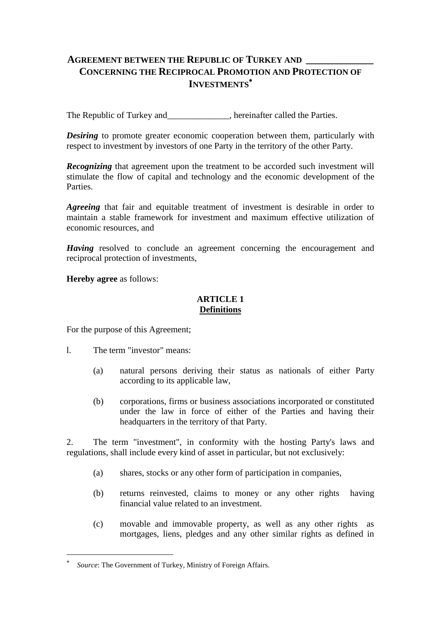# **AGREEMENT BETWEEN THE REPUBLIC OF TURKEY AND \_\_\_\_\_\_\_\_\_\_\_\_\_ CONCERNING THE RECIPROCAL PROMOTION AND PROTECTION OF INVESTMENTS**

The Republic of Turkey and \_\_\_\_\_\_\_\_\_\_\_, hereinafter called the Parties.

*Desiring* to promote greater economic cooperation between them, particularly with respect to investment by investors of one Party in the territory of the other Party.

*Recognizing* that agreement upon the treatment to be accorded such investment will stimulate the flow of capital and technology and the economic development of the Parties.

*Agreeing* that fair and equitable treatment of investment is desirable in order to maintain a stable framework for investment and maximum effective utilization of economic resources, and

*Having* resolved to conclude an agreement concerning the encouragement and reciprocal protection of investments,

**Hereby agree** as follows:

 $\overline{a}$ 

## **ARTICLE 1 Definitions**

For the purpose of this Agreement;

l. The term "investor" means:

- (a) natural persons deriving their status as nationals of either Party according to its applicable law,
- (b) corporations, firms or business associations incorporated or constituted under the law in force of either of the Parties and having their headquarters in the territory of that Party.

2. The term "investment", in conformity with the hosting Party's laws and regulations, shall include every kind of asset in particular, but not exclusively:

- (a) shares, stocks or any other form of participation in companies,
- (b) returns reinvested, claims to money or any other rights having financial value related to an investment.
- (c) movable and immovable property, as well as any other rights as mortgages, liens, pledges and any other similar rights as defined in

<sup>\*</sup> *Source*: The Government of Turkey, Ministry of Foreign Affairs.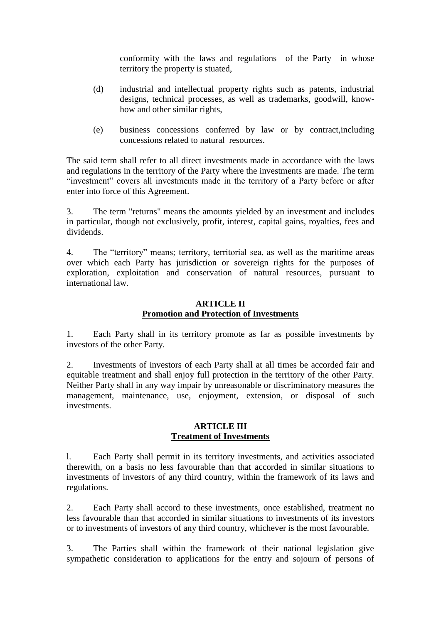conformity with the laws and regulations of the Party in whose territory the property is stuated,

- (d) industrial and intellectual property rights such as patents, industrial designs, technical processes, as well as trademarks, goodwill, knowhow and other similar rights,
- (e) business concessions conferred by law or by contract,including concessions related to natural resources.

The said term shall refer to all direct investments made in accordance with the laws and regulations in the territory of the Party where the investments are made. The term "investment" covers all investments made in the territory of a Party before or after enter into force of this Agreement.

3. The term "returns" means the amounts yielded by an investment and includes in particular, though not exclusively, profit, interest, capital gains, royalties, fees and dividends.

4. The "territory" means; territory, territorial sea, as well as the maritime areas over which each Party has jurisdiction or sovereign rights for the purposes of exploration, exploitation and conservation of natural resources, pursuant to international law.

## **ARTICLE II Promotion and Protection of Investments**

1. Each Party shall in its territory promote as far as possible investments by investors of the other Party.

2. Investments of investors of each Party shall at all times be accorded fair and equitable treatment and shall enjoy full protection in the territory of the other Party. Neither Party shall in any way impair by unreasonable or discriminatory measures the management, maintenance, use, enjoyment, extension, or disposal of such investments.

## **ARTICLE III Treatment of Investments**

l. Each Party shall permit in its territory investments, and activities associated therewith, on a basis no less favourable than that accorded in similar situations to investments of investors of any third country, within the framework of its laws and regulations.

2. Each Party shall accord to these investments, once established, treatment no less favourable than that accorded in similar situations to investments of its investors or to investments of investors of any third country, whichever is the most favourable.

3. The Parties shall within the framework of their national legislation give sympathetic consideration to applications for the entry and sojourn of persons of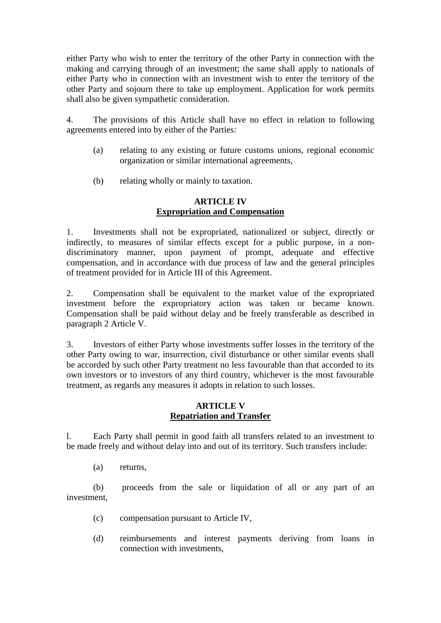either Party who wish to enter the territory of the other Party in connection with the making and carrying through of an investment; the same shall apply to nationals of either Party who in connection with an investment wish to enter the territory of the other Party and sojourn there to take up employment. Application for work permits shall also be given sympathetic consideration.

4. The provisions of this Article shall have no effect in relation to following agreements entered into by either of the Parties:

- (a) relating to any existing or future customs unions, regional economic organization or similar international agreements,
- (b) relating wholly or mainly to taxation.

# **ARTICLE IV Expropriation and Compensation**

1. Investments shall not be expropriated, nationalized or subject, directly or indirectly, to measures of similar effects except for a public purpose, in a nondiscriminatory manner, upon payment of prompt, adequate and effective compensation, and in accordance with due process of law and the general principles of treatment provided for in Article III of this Agreement.

2. Compensation shall be equivalent to the market value of the expropriated investment before the expropriatory action was taken or became known. Compensation shall be paid without delay and be freely transferable as described in paragraph 2 Article V.

3. Investors of either Party whose investments suffer losses in the territory of the other Party owing to war, insurrection, civil disturbance or other similar events shall be accorded by such other Party treatment no less favourable than that accorded to its own investors or to investors of any third country, whichever is the most favourable treatment, as regards any measures it adopts in relation to such losses.

#### **ARTICLE V Repatriation and Transfer**

l. Each Party shall permit in good faith all transfers related to an investment to be made freely and without delay into and out of its territory. Such transfers include:

(a) returns,

(b) proceeds from the sale or liquidation of all or any part of an investment,

- (c) compensation pursuant to Article IV,
- (d) reimbursements and interest payments deriving from loans in connection with investments,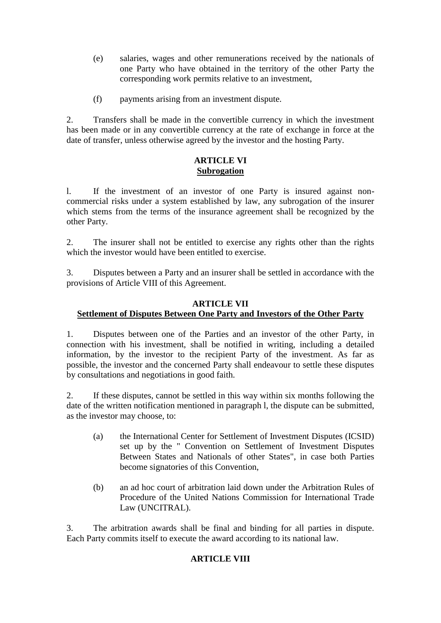- (e) salaries, wages and other remunerations received by the nationals of one Party who have obtained in the territory of the other Party the corresponding work permits relative to an investment,
- (f) payments arising from an investment dispute.

2. Transfers shall be made in the convertible currency in which the investment has been made or in any convertible currency at the rate of exchange in force at the date of transfer, unless otherwise agreed by the investor and the hosting Party.

# **ARTICLE VI Subrogation**

l. If the investment of an investor of one Party is insured against noncommercial risks under a system established by law, any subrogation of the insurer which stems from the terms of the insurance agreement shall be recognized by the other Party.

2. The insurer shall not be entitled to exercise any rights other than the rights which the investor would have been entitled to exercise.

3. Disputes between a Party and an insurer shall be settled in accordance with the provisions of Article VIII of this Agreement.

#### **ARTICLE VII Settlement of Disputes Between One Party and Investors of the Other Party**

1. Disputes between one of the Parties and an investor of the other Party, in connection with his investment, shall be notified in writing, including a detailed information, by the investor to the recipient Party of the investment. As far as possible, the investor and the concerned Party shall endeavour to settle these disputes by consultations and negotiations in good faith.

2. If these disputes, cannot be settled in this way within six months following the date of the written notification mentioned in paragraph l, the dispute can be submitted, as the investor may choose, to:

- (a) the International Center for Settlement of Investment Disputes (ICSID) set up by the " Convention on Settlement of Investment Disputes Between States and Nationals of other States", in case both Parties become signatories of this Convention,
- (b) an ad hoc court of arbitration laid down under the Arbitration Rules of Procedure of the United Nations Commission for International Trade Law (UNCITRAL).

3. The arbitration awards shall be final and binding for all parties in dispute. Each Party commits itself to execute the award according to its national law.

# **ARTICLE VIII**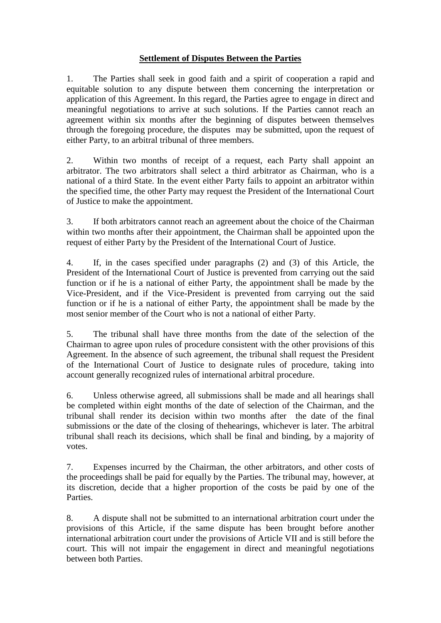# **Settlement of Disputes Between the Parties**

1. The Parties shall seek in good faith and a spirit of cooperation a rapid and equitable solution to any dispute between them concerning the interpretation or application of this Agreement. In this regard, the Parties agree to engage in direct and meaningful negotiations to arrive at such solutions. If the Parties cannot reach an agreement within six months after the beginning of disputes between themselves through the foregoing procedure, the disputes may be submitted, upon the request of either Party, to an arbitral tribunal of three members.

2. Within two months of receipt of a request, each Party shall appoint an arbitrator. The two arbitrators shall select a third arbitrator as Chairman, who is a national of a third State. In the event either Party fails to appoint an arbitrator within the specified time, the other Party may request the President of the International Court of Justice to make the appointment.

3. If both arbitrators cannot reach an agreement about the choice of the Chairman within two months after their appointment, the Chairman shall be appointed upon the request of either Party by the President of the International Court of Justice.

4. If, in the cases specified under paragraphs (2) and (3) of this Article, the President of the International Court of Justice is prevented from carrying out the said function or if he is a national of either Party, the appointment shall be made by the Vice-President, and if the Vice-President is prevented from carrying out the said function or if he is a national of either Party, the appointment shall be made by the most senior member of the Court who is not a national of either Party.

5. The tribunal shall have three months from the date of the selection of the Chairman to agree upon rules of procedure consistent with the other provisions of this Agreement. In the absence of such agreement, the tribunal shall request the President of the International Court of Justice to designate rules of procedure, taking into account generally recognized rules of international arbitral procedure.

6. Unless otherwise agreed, all submissions shall be made and all hearings shall be completed within eight months of the date of selection of the Chairman, and the tribunal shall render its decision within two months after the date of the final submissions or the date of the closing of thehearings, whichever is later. The arbitral tribunal shall reach its decisions, which shall be final and binding, by a majority of votes.

7. Expenses incurred by the Chairman, the other arbitrators, and other costs of the proceedings shall be paid for equally by the Parties. The tribunal may, however, at its discretion, decide that a higher proportion of the costs be paid by one of the Parties.

8. A dispute shall not be submitted to an international arbitration court under the provisions of this Article, if the same dispute has been brought before another international arbitration court under the provisions of Article VII and is still before the court. This will not impair the engagement in direct and meaningful negotiations between both Parties.